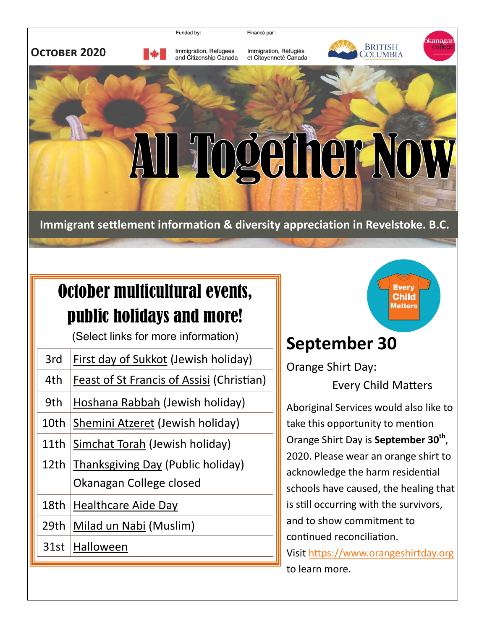

Financé par :





Immigration, Refugees and Citizenship Canada Immigration, Réfugiés et Citoyenneté Canada



kanaga

collēg

## AII Together Now

**Immigrant settlement information & diversity appreciation in Revelstoke. B.C.**

## October multicultural events, public holidays and more!

(Select links for more information)

| <b>First day of Sukkot (Jewish holiday)</b><br>3rd<br>4th<br>Feast of St Francis of Assisi (Christian)<br>9th<br>Hoshana Rabbah (Jewish holiday)<br>10th<br>Shemini Atzeret (Jewish holiday)<br>11th<br>Simchat Torah (Jewish holiday)<br><b>Thanksgiving Day (Public holiday)</b><br>12th<br>Okanagan College closed<br>18th<br><b>Healthcare Aide Day</b><br>29 <sub>th</sub><br>Milad un Nabi (Muslim)<br>31st<br>Halloween |  |
|--------------------------------------------------------------------------------------------------------------------------------------------------------------------------------------------------------------------------------------------------------------------------------------------------------------------------------------------------------------------------------------------------------------------------------|--|
|                                                                                                                                                                                                                                                                                                                                                                                                                                |  |
|                                                                                                                                                                                                                                                                                                                                                                                                                                |  |
|                                                                                                                                                                                                                                                                                                                                                                                                                                |  |
|                                                                                                                                                                                                                                                                                                                                                                                                                                |  |
|                                                                                                                                                                                                                                                                                                                                                                                                                                |  |
|                                                                                                                                                                                                                                                                                                                                                                                                                                |  |
|                                                                                                                                                                                                                                                                                                                                                                                                                                |  |
|                                                                                                                                                                                                                                                                                                                                                                                                                                |  |
|                                                                                                                                                                                                                                                                                                                                                                                                                                |  |
|                                                                                                                                                                                                                                                                                                                                                                                                                                |  |
|                                                                                                                                                                                                                                                                                                                                                                                                                                |  |



## **September 30**

Orange Shirt Day:

Every Child Matters

Aboriginal Services would also like to take this opportunity to mention Orange Shirt Day is **September 30th** , 2020. Please wear an orange shirt to acknowledge the harm residential schools have caused, the healing that is still occurring with the survivors, and to show commitment to continued reconciliation. Visit<https://www.orangeshirtday.org>

to learn more.